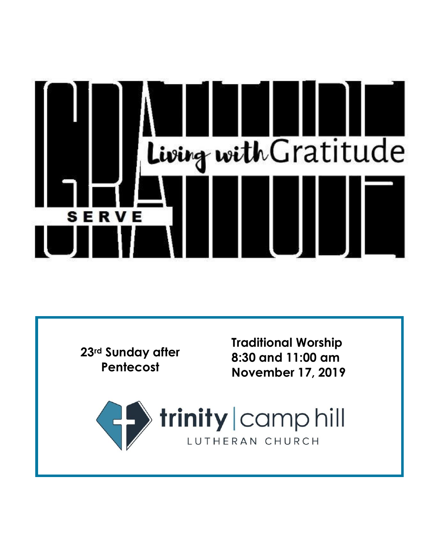

**23rd Sunday after Pentecost**

**Traditional Worship 8:30 and 11:00 am November 17, 201 9**

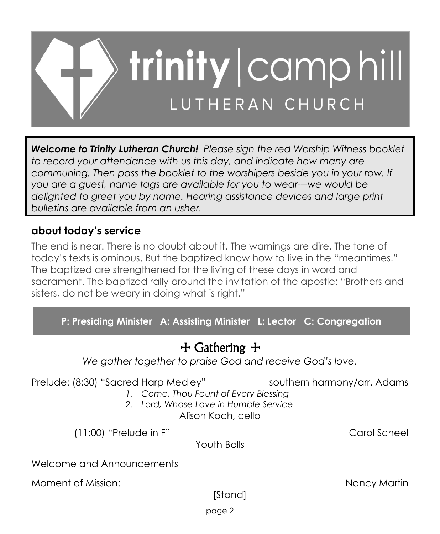

*Welcome to Trinity Lutheran Church! Please sign the red Worship Witness booklet to record your attendance with us this day, and indicate how many are communing. Then pass the booklet to the worshipers beside you in your row. If you are a guest, name tags are available for you to wear---we would be delighted to greet you by name. Hearing assistance devices and large print bulletins are available from an usher.*

## **about today's service**

The end is near. There is no doubt about it. The warnings are dire. The tone of today's texts is ominous. But the baptized know how to live in the "meantimes." The baptized are strengthened for the living of these days in word and sacrament. The baptized rally around the invitation of the apostle: "Brothers and sisters, do not be weary in doing what is right."

**P: Presiding Minister A: Assisting Minister L: Lector C: Congregation**

# + Gathering +

*We gather together to praise God and receive God's love.*

Prelude: (8:30) "Sacred Harp Medley" southern harmony/arr. Adams

- *1. Come, Thou Fount of Every Blessing*
- *2. Lord, Whose Love in Humble Service* Alison Koch, cello

(11:00) "Prelude in F" Carol Scheel

Youth Bells

Welcome and Announcements

Moment of Mission: Nancy Martin

[Stand]

page 2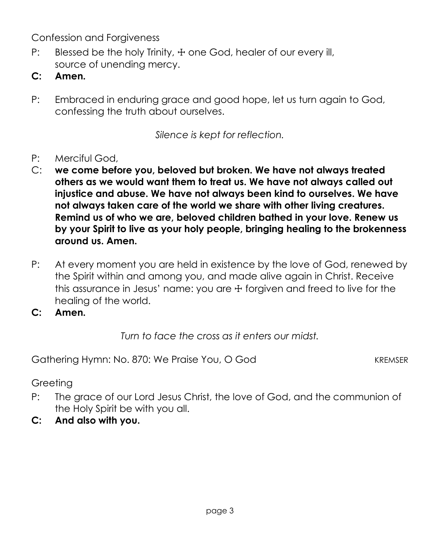Confession and Forgiveness

- P: Blessed be the holy Trinity,  $\pm$  one God, healer of our every ill, source of unending mercy.
- **C: Amen.**
- P: Embraced in enduring grace and good hope, let us turn again to God, confessing the truth about ourselves.

*Silence is kept for reflection.*

- P: Merciful God,
- C: **we come before you, beloved but broken. We have not always treated others as we would want them to treat us. We have not always called out injustice and abuse. We have not always been kind to ourselves. We have not always taken care of the world we share with other living creatures. Remind us of who we are, beloved children bathed in your love. Renew us by your Spirit to live as your holy people, bringing healing to the brokenness around us. Amen.**
- P: At every moment you are held in existence by the love of God, renewed by the Spirit within and among you, and made alive again in Christ. Receive this assurance in Jesus' name: you are ☩ forgiven and freed to live for the healing of the world.
- **C: Amen.**

*Turn to face the cross as it enters our midst.*

Gathering Hymn: No. 870: We Praise You, O God KREMSER

**Greeting** 

- P: The grace of our Lord Jesus Christ, the love of God, and the communion of the Holy Spirit be with you all.
- **C: And also with you.**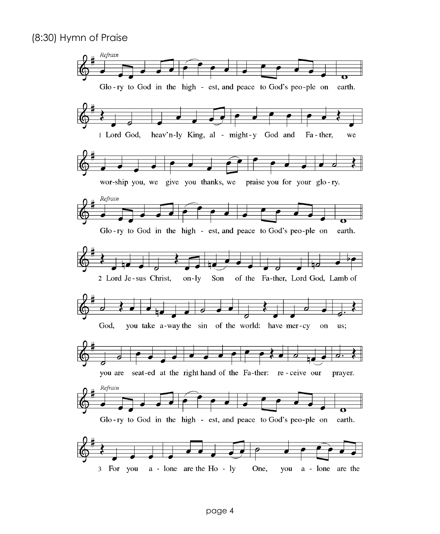#### (8:30) Hymn of Praise

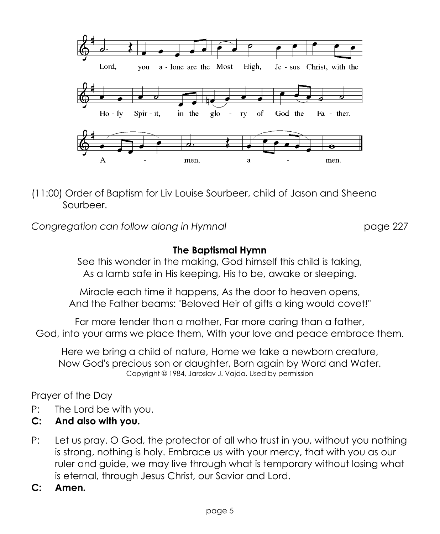

(11:00) Order of Baptism for Liv Louise Sourbeer, child of Jason and Sheena Sourbeer.

*Congregation can follow along in Hymnal* page 227

## **The Baptismal Hymn**

See this wonder in the making, God himself this child is taking, As a lamb safe in His keeping, His to be, awake or sleeping.

Miracle each time it happens, As the door to heaven opens, And the Father beams: "Beloved Heir of gifts a king would covet!"

Far more tender than a mother, Far more caring than a father, God, into your arms we place them, With your love and peace embrace them.

Here we bring a child of nature, Home we take a newborn creature, Now God's precious son or daughter, Born again by Word and Water. Copyright © 1984, Jaroslav J. Vajda. Used by permission

Prayer of the Day

- P: The Lord be with you.
- **C: And also with you.**
- P: Let us pray. O God, the protector of all who trust in you, without you nothing is strong, nothing is holy. Embrace us with your mercy, that with you as our ruler and guide, we may live through what is temporary without losing what is eternal, through Jesus Christ, our Savior and Lord.
- **C: Amen.**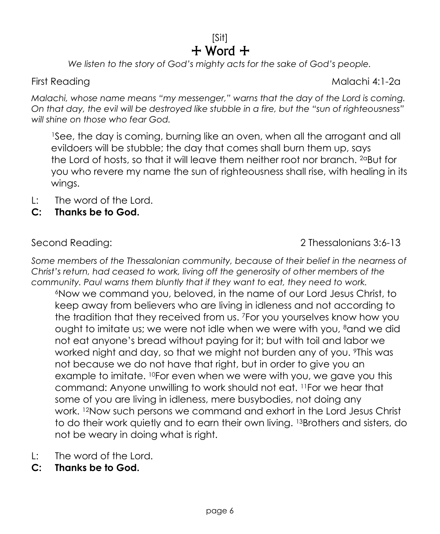## [Sit]  $+$  Word  $+$

*We listen to the story of God's mighty acts for the sake of God's people.*

First Reading Malachi 4:1-2a

*Malachi, whose name means "my messenger," warns that the day of the Lord is coming. On that day, the evil will be destroyed like stubble in a fire, but the "sun of righteousness" will shine on those who fear God.*

<sup>1</sup>See, the day is coming, burning like an oven, when all the arrogant and all evildoers will be stubble; the day that comes shall burn them up, says the Lord of hosts, so that it will leave them neither root nor branch. 2aBut for you who revere my name the sun of righteousness shall rise, with healing in its wings.

- L: The word of the Lord.
- **C: Thanks be to God.**

Second Reading: 2 Thessalonians 3:6-13

*Some members of the Thessalonian community, because of their belief in the nearness of Christ's return, had ceased to work, living off the generosity of other members of the community. Paul warns them bluntly that if they want to eat, they need to work.*

<sup>6</sup>Now we command you, beloved, in the name of our Lord Jesus Christ, to keep away from believers who are living in idleness and not according to the tradition that they received from us. <sup>7</sup>For you yourselves know how you ought to imitate us; we were not idle when we were with you, <sup>8</sup>and we did not eat anyone's bread without paying for it; but with toil and labor we worked night and day, so that we might not burden any of you. <sup>9</sup>This was not because we do not have that right, but in order to give you an example to imitate. <sup>10</sup>For even when we were with you, we gave you this command: Anyone unwilling to work should not eat. <sup>11</sup>For we hear that some of you are living in idleness, mere busybodies, not doing any work. <sup>12</sup>Now such persons we command and exhort in the Lord Jesus Christ to do their work quietly and to earn their own living. <sup>13</sup>Brothers and sisters, do not be weary in doing what is right.

- L: The word of the Lord.
- **C: Thanks be to God.**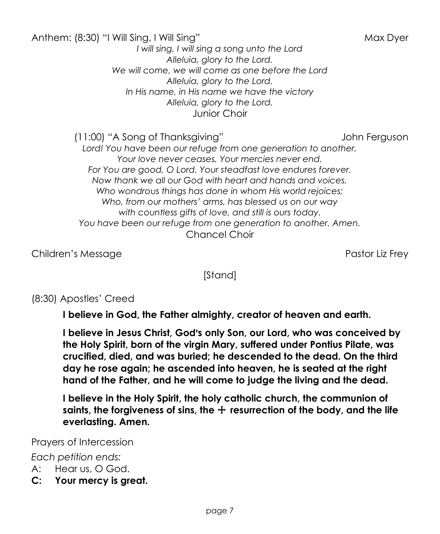Anthem: (8:30) "I Will Sing, I Will Sing" Max Dyer *I will sing, I will sing a song unto the Lord Alleluia, glory to the Lord. We will come, we will come as one before the Lord Alleluia, glory to the Lord. In His name, in His name we have the victory Alleluia, glory to the Lord.* Junior Choir

(11:00) "A Song of Thanksgiving" John Ferguson

*Lord! You have been our refuge from one generation to another. Your love never ceases, Your mercies never end. For You are good, O Lord. Your steadfast love endures forever. Now thank we all our God with heart and hands and voices. Who wondrous things has done in whom His world rejoices; Who, from our mothers' arms, has blessed us on our way with countless gifts of love, and still is ours today. You have been our refuge from one generation to another. Amen.* Chancel Choir

Children's Message Pastor Liz Frey

[Stand]

## (8:30) Apostles' Creed

**I believe in God, the Father almighty, creator of heaven and earth.**

**I believe in Jesus Christ, God**=**s only Son, our Lord, who was conceived by the Holy Spirit, born of the virgin Mary, suffered under Pontius Pilate, was crucified, died, and was buried; he descended to the dead. On the third day he rose again; he ascended into heaven, he is seated at the right hand of the Father, and he will come to judge the living and the dead.**

**I believe in the Holy Spirit, the holy catholic church, the communion of saints, the forgiveness of sins, the** + **resurrection of the body, and the life everlasting. Amen.**

Prayers of Intercession

*Each petition ends:*

A: Hear us, O God.

**C: Your mercy is great.**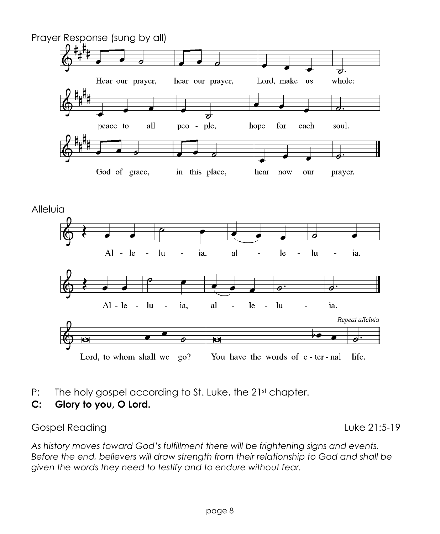

- P: The holy gospel according to St. Luke, the 21st chapter.
- **C: Glory to you, O Lord.**

#### Gospel Reading **Luke 21:5-19**

*As history moves toward God's fulfillment there will be frightening signs and events. Before the end, believers will draw strength from their relationship to God and shall be given the words they need to testify and to endure without fear.*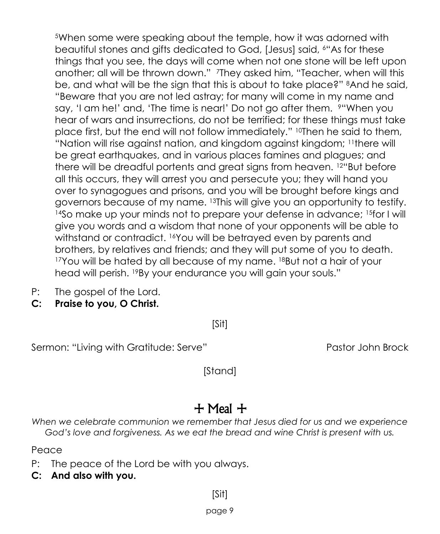<sup>5</sup>When some were speaking about the temple, how it was adorned with beautiful stones and gifts dedicated to God, [Jesus] said, <sup>6</sup>"As for these things that you see, the days will come when not one stone will be left upon another; all will be thrown down." <sup>7</sup>They asked him, "Teacher, when will this be, and what will be the sign that this is about to take place?" <sup>8</sup>And he said, "Beware that you are not led astray; for many will come in my name and say, 'I am he!' and, 'The time is near!' Do not go after them. <sup>9"</sup>When you hear of wars and insurrections, do not be terrified; for these things must take place first, but the end will not follow immediately." <sup>10</sup>Then he said to them, "Nation will rise against nation, and kingdom against kingdom; <sup>11</sup>there will be great earthquakes, and in various places famines and plagues; and there will be dreadful portents and great signs from heaven. <sup>12</sup>"But before all this occurs, they will arrest you and persecute you; they will hand you over to synagogues and prisons, and you will be brought before kings and governors because of my name. <sup>13</sup>This will give you an opportunity to testify. <sup>14</sup>So make up your minds not to prepare your defense in advance; <sup>15f</sup>or I will give you words and a wisdom that none of your opponents will be able to withstand or contradict. <sup>16</sup>You will be betrayed even by parents and brothers, by relatives and friends; and they will put some of you to death. <sup>17</sup>You will be hated by all because of my name. <sup>18</sup>But not a hair of your head will perish. <sup>19</sup>By your endurance you will gain your souls."

- P: The gospel of the Lord.
- **C: Praise to you, O Christ.**

[Sit]

Sermon: "Living with Gratitude: Serve" Pastor John Brock

[Stand]

# + Meal +

*When we celebrate communion we remember that Jesus died for us and we experience*  God's love and forgiveness. As we eat the bread and wine Christ is present with us.

Peace

- P: The peace of the Lord be with you always.
- **C: And also with you.**

[Sit]

page 9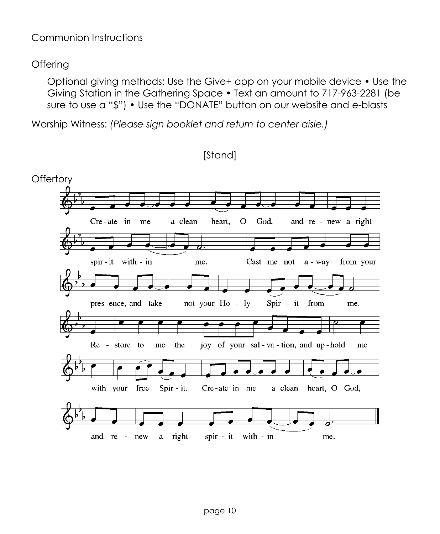### Communion Instructions

### **Offering**

Optional giving methods: Use the Give+ app on your mobile device • Use the Giving Station in the Gathering Space • Text an amount to 717-963-2281 (be sure to use a "\$") • Use the "DONATE" button on our website and e-blasts

Worship Witness: *(Please sign booklet and return to center aisle.)*

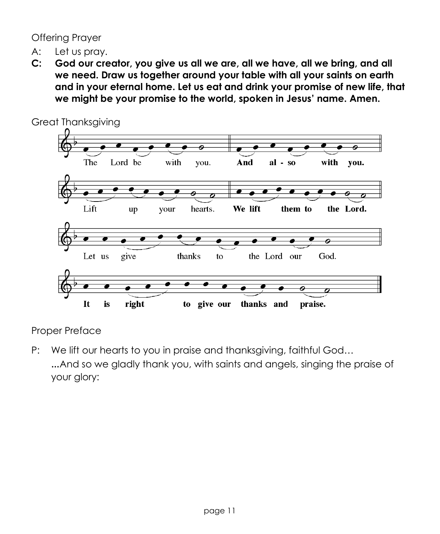Offering Prayer

- A: Let us pray.
- **C: God our creator, you give us all we are, all we have, all we bring, and all we need. Draw us together around your table with all your saints on earth and in your eternal home. Let us eat and drink your promise of new life, that we might be your promise to the world, spoken in Jesus' name. Amen.**



Proper Preface

P: We lift our hearts to you in praise and thanksgiving, faithful God... …And so we gladly thank you, with saints and angels, singing the praise of your glory: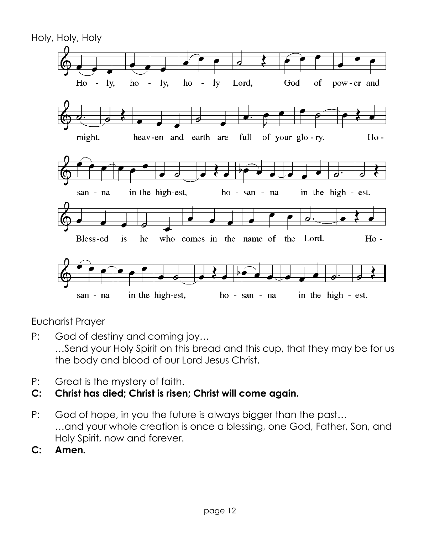

Eucharist Prayer

- P: God of destiny and coming joy… …Send your Holy Spirit on this bread and this cup, that they may be for us the body and blood of our Lord Jesus Christ.
- P: Great is the mystery of faith.
- **C: Christ has died; Christ is risen; Christ will come again.**
- P: God of hope, in you the future is always bigger than the past… …and your whole creation is once a blessing, one God, Father, Son, and Holy Spirit, now and forever.
- **C: Amen.**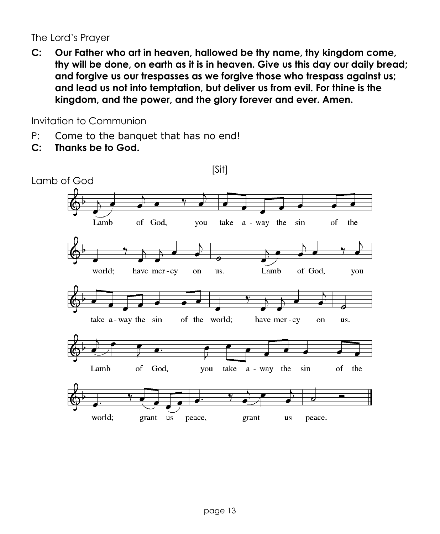The Lord's Prayer

**C: Our Father who art in heaven, hallowed be thy name, thy kingdom come, thy will be done, on earth as it is in heaven. Give us this day our daily bread; and forgive us our trespasses as we forgive those who trespass against us; and lead us not into temptation, but deliver us from evil. For thine is the kingdom, and the power, and the glory forever and ever. Amen.**

Invitation to Communion

- P: Come to the banquet that has no end!
- **C: Thanks be to God.**

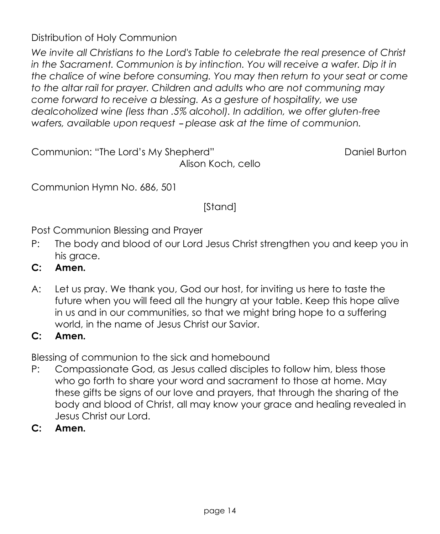Distribution of Holy Communion

*We invite all Christians to the Lord's Table to celebrate the real presence of Christ*  in the Sacrament. Communion is by intinction. You will receive a wafer. Dip it in *the chalice of wine before consuming. You may then return to your seat or come to the altar rail for prayer. Children and adults who are not communing may come forward to receive a blessing. As a gesture of hospitality, we use dealcoholized wine (less than .5% alcohol). In addition, we offer gluten-free wafers, available upon request - please ask at the time of communion.* 

Communion: "The Lord's My Shepherd" Communion: "Daniel Burton" Alison Koch, cello

Communion Hymn No. 686, 501

[Stand]

Post Communion Blessing and Prayer

- P: The body and blood of our Lord Jesus Christ strengthen you and keep you in his grace.
- **C: Amen.**
- A: Let us pray. We thank you, God our host, for inviting us here to taste the future when you will feed all the hungry at your table. Keep this hope alive in us and in our communities, so that we might bring hope to a suffering world, in the name of Jesus Christ our Savior.

## **C: Amen.**

Blessing of communion to the sick and homebound

- P: Compassionate God, as Jesus called disciples to follow him, bless those who go forth to share your word and sacrament to those at home. May these gifts be signs of our love and prayers, that through the sharing of the body and blood of Christ, all may know your grace and healing revealed in Jesus Christ our Lord.
- **C: Amen.**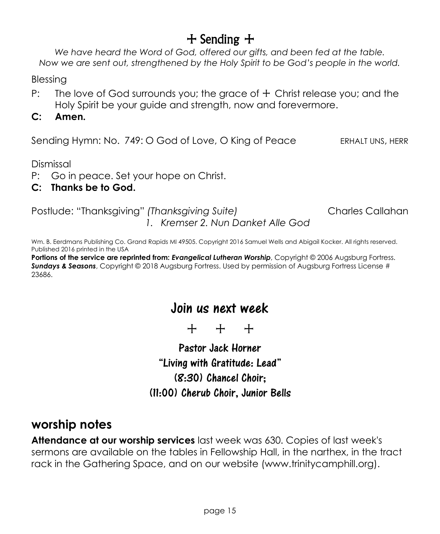# $+$  Sending  $+$

*We have heard the Word of God, offered our gifts, and been fed at the table. Now we are sent out, strengthened by the Holy Spirit to be God's people in the world.*

Blessing

- P: The love of God surrounds you; the grace of  $+$  Christ release you; and the Holy Spirit be your guide and strength, now and forevermore.
- **C: Amen.**

Sending Hymn: No. 749: O God of Love, O King of Peace ERHALT UNS, HERR

Dismissal

- P: Go in peace. Set your hope on Christ.
- **C: Thanks be to God.**

Postlude: "Thanksgiving" *(Thanksgiving Suite)* Charles Callahan *1. Kremser 2. Nun Danket Alle God*

Wm. B. Eerdmans Publishing Co. Grand Rapids MI 49505. Copyright 2016 Samuel Wells and Abigail Kocker. All rights reserved. Published 2016 printed in the USA

**Portions of the service are reprinted from:** *Evangelical Lutheran Worship***, Copyright © 2006 Augsburg Fortress.** *Sundays & Seasons*, Copyright © 2018 Augsburg Fortress. Used by permission of Augsburg Fortress License # 23686.

# Join us next week

+ + +

Pastor Jack Horner "Living with Gratitude: Lead" (8:30) Chancel Choir; (11:00) Cherub Choir, Junior Bells

## **worship notes**

**Attendance at our worship services** last week was 630. Copies of last week's sermons are available on the tables in Fellowship Hall, in the narthex, in the tract rack in the Gathering Space, and on our website (www.trinitycamphill.org).